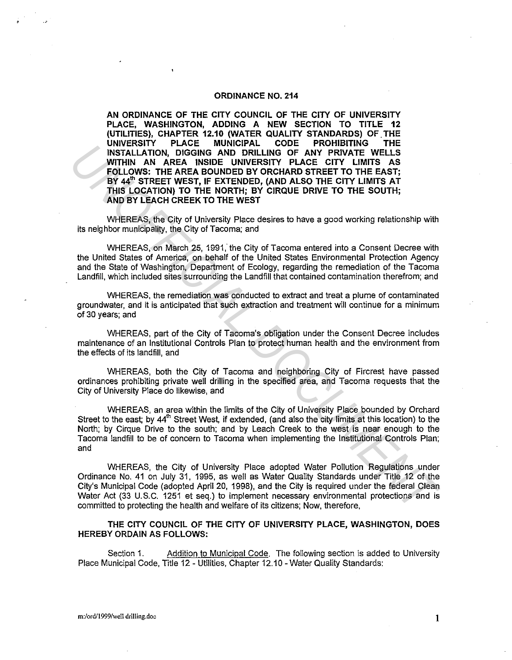## **ORDINANCE NO. 214**

**AN ORDINANCE OF THE CITY COUNCIL OF THE CITY OF UNIVERSITY PLACE, WASHINGTON, ADDING A NEW SECTION TO TITLE 12 (UTILITIES), CHAPTER 12.10 (WATER QUALITY STANDARDS) OF.THE UNIVERSITY PLACE MUNICIPAL CODE PROHIBITING THE INSTALLATION, DIGGING AND DRILLING OF ANY PRIVATE WELLS WITHIN AN AREA INSIDE UNIVERSITY PLACE CITY LIMITS AS FOLLOWS: THE AREA BOUNDED BY ORCHARD STREET TO THE EAST; BY 44'" STREET WEST, IF EXTENDED, (AND ALSO THE CITY LIMITS AT THIS LOCATION) TO THE NORTH; BY CIRQUE DRIVE TO THE SOUTH; AND BY LEACH CREEK TO THE WEST UNIFICIAL MONTENTIAL CONFIDENTIAL CONFIDENTIAL CONFIDENTIAL MONTENTIAL MONTENT IN THE MATE AND DRILLING OF ANY FRIVATE WELLS<br>
WITHIN AN AREA INSURE DEVIDENCY PLACE CITY LIMITS AS<br>
FOLLOWS THE MATE ARE INTO ENDIRICT PURCE** 

WHEREAS, the City of University Place desires to have a good working relationship with its neighbor municipality, the City of Tacoma; and

WHEREAS, on March 25, 1991, the City of Tacoma entered into a Consent Decree with the United States of America, on behalf of the United States Environmental Protection Agency and the State of Washington, Department of Ecology, regarding the remediation of the Tacoma Landfill, which included sites surrounding the Landfill that contained contamination therefrom; and

WHEREAS, the remediation was conducted to extract and treat a plume of contaminated groundwater, and it is anticipated that such extraction and treatment will continue for a minimum of 30 years; and

WHEREAS, part of the City of Tacoma's obligation under the Consent Decree includes maintenance of an Institutional Controls Plan to protect human health and the environment from the effects of its landfill, and

WHEREAS, both the City of Tacoma and neighboring City of Fircrest have passed ordinances prohibiting private well drilling in the specified area, and Tacoma requests that the City of University Place do likewise, and

WHEREAS, an area within the limits of the City of University Place bounded by Orchard Street to the east; by 44<sup>th</sup> Street West, if extended, (and also the city limits at this location) to the North; by Cirque Drive to the south; and by Leach Creek to the west is near enough to the Tacoma landfill to be of concern to Tacoma when implementing the Institutional Controls Plan; and

WHEREAS, the City of University Place adopted Water Pollution Regulations under Ordinance No. 41 on July 31, 1995, as well as Water Quality Standards under Title 12 of the City's Municipal Code (adopted April 20, 1998), and the City is required under the federal Clean Water Act (33 U.S.C. 1251 et seq.) to implement necessary environmental protections and is committed to protecting the health and welfare of its citizens; Now, therefore,

**THE CITY COUNCIL OF THE CITY OF UNIVERSITY PLACE, WASHINGTON, DOES HEREBY ORDAIN AS FOLLOWS:** 

Section 1. Addition to Municipal Code. The following section is added to University Place Municipal Code, Title 12 - Utilities, Chapter 12.10 - Water Quality Standards: